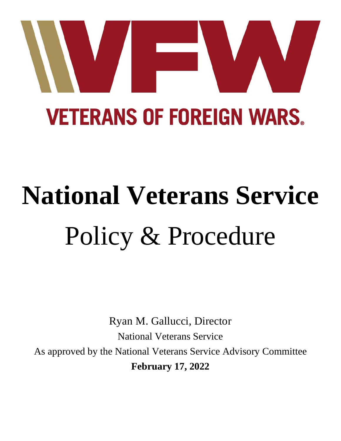

# **National Veterans Service** Policy & Procedure

Ryan M. Gallucci, Director National Veterans Service As approved by the National Veterans Service Advisory Committee **February 17, 2022**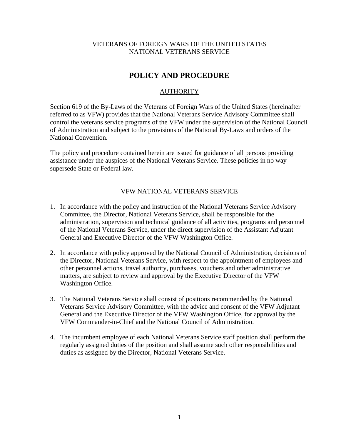#### VETERANS OF FOREIGN WARS OF THE UNITED STATES NATIONAL VETERANS SERVICE

# **POLICY AND PROCEDURE**

## **AUTHORITY**

Section 619 of the By-Laws of the Veterans of Foreign Wars of the United States (hereinafter referred to as VFW) provides that the National Veterans Service Advisory Committee shall control the veterans service programs of the VFW under the supervision of the National Council of Administration and subject to the provisions of the National By-Laws and orders of the National Convention.

The policy and procedure contained herein are issued for guidance of all persons providing assistance under the auspices of the National Veterans Service. These policies in no way supersede State or Federal law.

#### VFW NATIONAL VETERANS SERVICE

- 1. In accordance with the policy and instruction of the National Veterans Service Advisory Committee, the Director, National Veterans Service, shall be responsible for the administration, supervision and technical guidance of all activities, programs and personnel of the National Veterans Service, under the direct supervision of the Assistant Adjutant General and Executive Director of the VFW Washington Office.
- 2. In accordance with policy approved by the National Council of Administration, decisions of the Director, National Veterans Service, with respect to the appointment of employees and other personnel actions, travel authority, purchases, vouchers and other administrative matters, are subject to review and approval by the Executive Director of the VFW Washington Office.
- 3. The National Veterans Service shall consist of positions recommended by the National Veterans Service Advisory Committee, with the advice and consent of the VFW Adjutant General and the Executive Director of the VFW Washington Office, for approval by the VFW Commander-in-Chief and the National Council of Administration.
- 4. The incumbent employee of each National Veterans Service staff position shall perform the regularly assigned duties of the position and shall assume such other responsibilities and duties as assigned by the Director, National Veterans Service.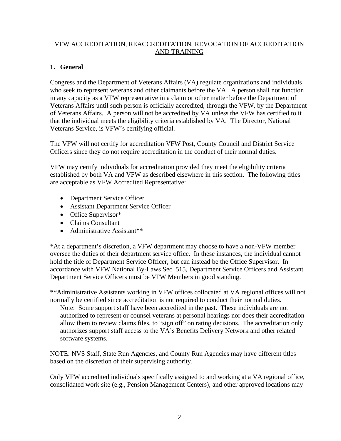# VFW ACCREDITATION, REACCREDITATION, REVOCATION OF ACCREDITATION AND TRAINING

# **1. General**

Congress and the Department of Veterans Affairs (VA) regulate organizations and individuals who seek to represent veterans and other claimants before the VA. A person shall not function in any capacity as a VFW representative in a claim or other matter before the Department of Veterans Affairs until such person is officially accredited, through the VFW, by the Department of Veterans Affairs. A person will not be accredited by VA unless the VFW has certified to it that the individual meets the eligibility criteria established by VA. The Director, National Veterans Service, is VFW's certifying official.

The VFW will not certify for accreditation VFW Post, County Council and District Service Officers since they do not require accreditation in the conduct of their normal duties.

VFW may certify individuals for accreditation provided they meet the eligibility criteria established by both VA and VFW as described elsewhere in this section. The following titles are acceptable as VFW Accredited Representative:

- Department Service Officer
- Assistant Department Service Officer
- Office Supervisor\*
- Claims Consultant
- Administrative Assistant\*\*

\*At a department's discretion, a VFW department may choose to have a non-VFW member oversee the duties of their department service office. In these instances, the individual cannot hold the title of Department Service Officer, but can instead be the Office Supervisor. In accordance with VFW National By-Laws Sec. 515, Department Service Officers and Assistant Department Service Officers must be VFW Members in good standing.

\*\*Administrative Assistants working in VFW offices collocated at VA regional offices will not normally be certified since accreditation is not required to conduct their normal duties.

Note: Some support staff have been accredited in the past. These individuals are not authorized to represent or counsel veterans at personal hearings nor does their accreditation allow them to review claims files, to "sign off" on rating decisions. The accreditation only authorizes support staff access to the VA's Benefits Delivery Network and other related software systems.

NOTE: NVS Staff, State Run Agencies, and County Run Agencies may have different titles based on the discretion of their supervising authority.

Only VFW accredited individuals specifically assigned to and working at a VA regional office, consolidated work site (e.g., Pension Management Centers), and other approved locations may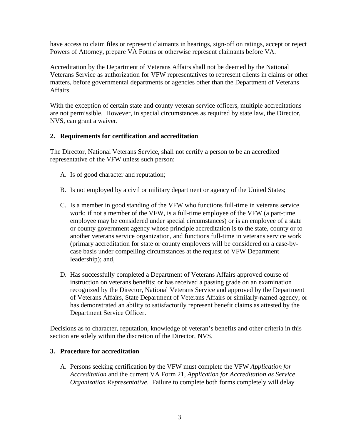have access to claim files or represent claimants in hearings, sign-off on ratings, accept or reject Powers of Attorney, prepare VA Forms or otherwise represent claimants before VA.

Accreditation by the Department of Veterans Affairs shall not be deemed by the National Veterans Service as authorization for VFW representatives to represent clients in claims or other matters, before governmental departments or agencies other than the Department of Veterans Affairs.

With the exception of certain state and county veteran service officers, multiple accreditations are not permissible. However, in special circumstances as required by state law, the Director, NVS, can grant a waiver.

#### **2. Requirements for certification and accreditation**

The Director, National Veterans Service, shall not certify a person to be an accredited representative of the VFW unless such person:

- A. Is of good character and reputation;
- B. Is not employed by a civil or military department or agency of the United States;
- C. Is a member in good standing of the VFW who functions full-time in veterans service work; if not a member of the VFW, is a full-time employee of the VFW (a part-time employee may be considered under special circumstances) or is an employee of a state or county government agency whose principle accreditation is to the state, county or to another veterans service organization, and functions full-time in veterans service work (primary accreditation for state or county employees will be considered on a case-bycase basis under compelling circumstances at the request of VFW Department leadership); and,
- D. Has successfully completed a Department of Veterans Affairs approved course of instruction on veterans benefits; or has received a passing grade on an examination recognized by the Director, National Veterans Service and approved by the Department of Veterans Affairs, State Department of Veterans Affairs or similarly-named agency; or has demonstrated an ability to satisfactorily represent benefit claims as attested by the Department Service Officer.

Decisions as to character, reputation, knowledge of veteran's benefits and other criteria in this section are solely within the discretion of the Director, NVS.

#### **3. Procedure for accreditation**

A. Persons seeking certification by the VFW must complete the VFW *Application for Accreditation* and the current VA Form 21, *Application for Accreditation as Service Organization Representative*. Failure to complete both forms completely will delay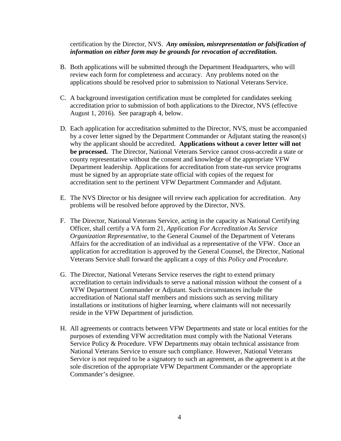#### certification by the Director, NVS. *Any omission, misrepresentation or falsification of information on either form may be grounds for revocation of accreditation.*

- B. Both applications will be submitted through the Department Headquarters, who will review each form for completeness and accuracy. Any problems noted on the applications should be resolved prior to submission to National Veterans Service.
- C. A background investigation certification must be completed for candidates seeking accreditation prior to submission of both applications to the Director, NVS (effective August 1, 2016). See paragraph 4, below.
- D. Each application for accreditation submitted to the Director, NVS, must be accompanied by a cover letter signed by the Department Commander or Adjutant stating the reason(s) why the applicant should be accredited. **Applications without a cover letter will not be processed.** The Director, National Veterans Service cannot cross-accredit a state or county representative without the consent and knowledge of the appropriate VFW Department leadership. Applications for accreditation from state-run service programs must be signed by an appropriate state official with copies of the request for accreditation sent to the pertinent VFW Department Commander and Adjutant.
- E. The NVS Director or his designee will review each application for accreditation. Any problems will be resolved before approved by the Director, NVS.
- F. The Director, National Veterans Service, acting in the capacity as National Certifying Officer, shall certify a VA form 21, *Application For Accreditation As Service Organization Representative*, to the General Counsel of the Department of Veterans Affairs for the accreditation of an individual as a representative of the VFW. Once an application for accreditation is approved by the General Counsel, the Director, National Veterans Service shall forward the applicant a copy of this *Policy and Procedure*.
- G. The Director, National Veterans Service reserves the right to extend primary accreditation to certain individuals to serve a national mission without the consent of a VFW Department Commander or Adjutant. Such circumstances include the accreditation of National staff members and missions such as serving military installations or institutions of higher learning, where claimants will not necessarily reside in the VFW Department of jurisdiction.
- H. All agreements or contracts between VFW Departments and state or local entities for the purposes of extending VFW accreditation must comply with the National Veterans Service Policy & Procedure. VFW Departments may obtain technical assistance from National Veterans Service to ensure such compliance. However, National Veterans Service is not required to be a signatory to such an agreement, as the agreement is at the sole discretion of the appropriate VFW Department Commander or the appropriate Commander's designee.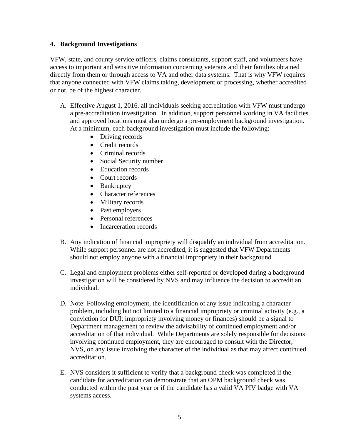#### **4. Background Investigations**

VFW, state, and county service officers, claims consultants, support staff, and volunteers have access to important and sensitive information concerning veterans and their families obtained directly from them or through access to VA and other data systems. That is why VFW requires that anyone connected with VFW claims taking, development or processing, whether accredited or not, be of the highest character.

- A. Effective August 1, 2016, all individuals seeking accreditation with VFW must undergo a pre-accreditation investigation. In addition, support personnel working in VA facilities and approved locations must also undergo a pre-employment background investigation. At a minimum, each background investigation must include the following:
	- Driving records
	- Credit records
	- Criminal records
	- Social Security number
	- Education records
	- Court records
	- Bankruptcy
	- Character references
	- Military records
	- Past employers
	- Personal references
	- Incarceration records
- B. Any indication of financial impropriety will disqualify an individual from accreditation. While support personnel are not accredited, it is suggested that VFW Departments should not employ anyone with a financial impropriety in their background.
- C. Legal and employment problems either self-reported or developed during a background investigation will be considered by NVS and may influence the decision to accredit an individual.
- D. Note: Following employment, the identification of any issue indicating a character problem, including but not limited to a financial impropriety or criminal activity (e.g., a conviction for DUI; impropriety involving money or finances) should be a signal to Department management to review the advisability of continued employment and/or accreditation of that individual. While Departments are solely responsible for decisions involving continued employment, they are encouraged to consult with the Director, NVS, on any issue involving the character of the individual as that may affect continued accreditation.
- E. NVS considers it sufficient to verify that a background check was completed if the candidate for accreditation can demonstrate that an OPM background check was conducted within the past year or if the candidate has a valid VA PIV badge with VA systems access.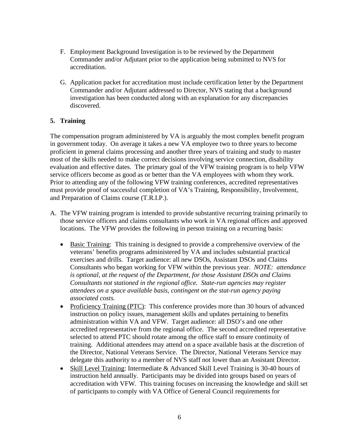- F. Employment Background Investigation is to be reviewed by the Department Commander and/or Adjutant prior to the application being submitted to NVS for accreditation.
- G. Application packet for accreditation must include certification letter by the Department Commander and/or Adjutant addressed to Director, NVS stating that a background investigation has been conducted along with an explanation for any discrepancies discovered.

# **5. Training**

The compensation program administered by VA is arguably the most complex benefit program in government today. On average it takes a new VA employee two to three years to become proficient in general claims processing and another three years of training and study to master most of the skills needed to make correct decisions involving service connection, disability evaluation and effective dates. The primary goal of the VFW training program is to help VFW service officers become as good as or better than the VA employees with whom they work. Prior to attending any of the following VFW training conferences, accredited representatives must provide proof of successful completion of VA's Training, Responsibility, Involvement, and Preparation of Claims course (T.R.I.P.).

- A. The VFW training program is intended to provide substantive recurring training primarily to those service officers and claims consultants who work in VA regional offices and approved locations. The VFW provides the following in person training on a recurring basis:
	- Basic Training: This training is designed to provide a comprehensive overview of the veterans' benefits programs administered by VA and includes substantial practical exercises and drills. Target audience: all new DSOs, Assistant DSOs and Claims Consultants who began working for VFW within the previous year. *NOTE: attendance is optional, at the request of the Department, for those Assistant DSOs and Claims Consultants not stationed in the regional office. State-run agencies may register attendees on a space available basis, contingent on the stat-run agency paying associated costs.*
	- Proficiency Training (PTC): This conference provides more than 30 hours of advanced instruction on policy issues, management skills and updates pertaining to benefits administration within VA and VFW. Target audience: all DSO's and one other accredited representative from the regional office. The second accredited representative selected to attend PTC should rotate among the office staff to ensure continuity of training. Additional attendees may attend on a space available basis at the discretion of the Director, National Veterans Service. The Director, National Veterans Service may delegate this authority to a member of NVS staff not lower than an Assistant Director.
	- Skill Level Training: Intermediate & Advanced Skill Level Training is 30-40 hours of instruction held annually. Participants may be divided into groups based on years of accreditation with VFW. This training focuses on increasing the knowledge and skill set of participants to comply with VA Office of General Council requirements for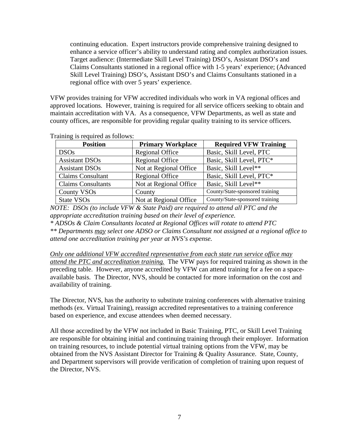continuing education. Expert instructors provide comprehensive training designed to enhance a service officer's ability to understand rating and complex authorization issues. Target audience: (Intermediate Skill Level Training) DSO's, Assistant DSO's and Claims Consultants stationed in a regional office with 1-5 years' experience; (Advanced Skill Level Training) DSO's, Assistant DSO's and Claims Consultants stationed in a regional office with over 5 years' experience.

VFW provides training for VFW accredited individuals who work in VA regional offices and approved locations. However, training is required for all service officers seeking to obtain and maintain accreditation with VA. As a consequence, VFW Departments, as well as state and county offices, are responsible for providing regular quality training to its service officers.

| <b>Position</b>           | <b>Primary Workplace</b> | <b>Required VFW Training</b>    |
|---------------------------|--------------------------|---------------------------------|
| <b>DSOs</b>               | <b>Regional Office</b>   | Basic, Skill Level, PTC         |
| <b>Assistant DSOs</b>     | <b>Regional Office</b>   | Basic, Skill Level, PTC*        |
| <b>Assistant DSOs</b>     | Not at Regional Office   | Basic, Skill Level**            |
| <b>Claims Consultant</b>  | <b>Regional Office</b>   | Basic, Skill Level, PTC*        |
| <b>Claims Consultants</b> | Not at Regional Office   | Basic, Skill Level**            |
| <b>County VSOs</b>        | County                   | County/State-sponsored training |
| State VSO <sub>s</sub>    | Not at Regional Office   | County/State-sponsored training |

Training is required as follows:

*NOTE: DSOs (to include VFW & State Paid) are required to attend all PTC and the appropriate accreditation training based on their level of experience.*

*\* ADSOs & Claim Consultants located at Regional Offices will rotate to attend PTC \*\* Departments may select one ADSO or Claims Consultant not assigned at a regional office to attend one accreditation training per year at NVS's expense.*

*Only one additional VFW accredited representative from each state run service office may attend the PTC and accreditation training.* The VFW pays for required training as shown in the preceding table. However, anyone accredited by VFW can attend training for a fee on a spaceavailable basis. The Director, NVS, should be contacted for more information on the cost and availability of training.

The Director, NVS, has the authority to substitute training conferences with alternative training methods (ex. Virtual Training), reassign accredited representatives to a training conference based on experience, and excuse attendees when deemed necessary.

All those accredited by the VFW not included in Basic Training, PTC, or Skill Level Training are responsible for obtaining initial and continuing training through their employer. Information on training resources, to include potential virtual training options from the VFW, may be obtained from the NVS Assistant Director for Training & Quality Assurance. State, County, and Department supervisors will provide verification of completion of training upon request of the Director, NVS.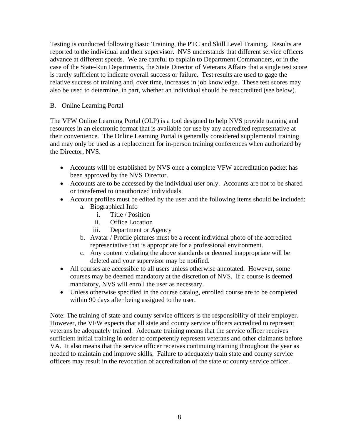Testing is conducted following Basic Training, the PTC and Skill Level Training. Results are reported to the individual and their supervisor. NVS understands that different service officers advance at different speeds. We are careful to explain to Department Commanders, or in the case of the State-Run Departments, the State Director of Veterans Affairs that a single test score is rarely sufficient to indicate overall success or failure. Test results are used to gage the relative success of training and, over time, increases in job knowledge. These test scores may also be used to determine, in part, whether an individual should be reaccredited (see below).

## B. Online Learning Portal

The VFW Online Learning Portal (OLP) is a tool designed to help NVS provide training and resources in an electronic format that is available for use by any accredited representative at their convenience. The Online Learning Portal is generally considered supplemental training and may only be used as a replacement for in-person training conferences when authorized by the Director, NVS.

- Accounts will be established by NVS once a complete VFW accreditation packet has been approved by the NVS Director.
- Accounts are to be accessed by the individual user only. Accounts are not to be shared or transferred to unauthorized individuals.
- Account profiles must be edited by the user and the following items should be included:
	- a. Biographical Info
		- i. Title / Position
		- ii. Office Location
		- iii. Department or Agency
	- b. Avatar / Profile pictures must be a recent individual photo of the accredited representative that is appropriate for a professional environment.
	- c. Any content violating the above standards or deemed inappropriate will be deleted and your supervisor may be notified.
- All courses are accessible to all users unless otherwise annotated. However, some courses may be deemed mandatory at the discretion of NVS. If a course is deemed mandatory, NVS will enroll the user as necessary.
- Unless otherwise specified in the course catalog, enrolled course are to be completed within 90 days after being assigned to the user.

Note: The training of state and county service officers is the responsibility of their employer. However, the VFW expects that all state and county service officers accredited to represent veterans be adequately trained. Adequate training means that the service officer receives sufficient initial training in order to competently represent veterans and other claimants before VA. It also means that the service officer receives continuing training throughout the year as needed to maintain and improve skills. Failure to adequately train state and county service officers may result in the revocation of accreditation of the state or county service officer.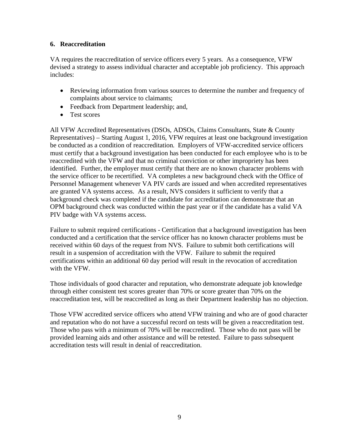# **6. Reaccreditation**

VA requires the reaccreditation of service officers every 5 years. As a consequence, VFW devised a strategy to assess individual character and acceptable job proficiency. This approach includes:

- Reviewing information from various sources to determine the number and frequency of complaints about service to claimants;
- Feedback from Department leadership; and,
- Test scores

All VFW Accredited Representatives (DSOs, ADSOs, Claims Consultants, State & County Representatives) – Starting August 1, 2016, VFW requires at least one background investigation be conducted as a condition of reaccreditation. Employers of VFW-accredited service officers must certify that a background investigation has been conducted for each employee who is to be reaccredited with the VFW and that no criminal conviction or other impropriety has been identified. Further, the employer must certify that there are no known character problems with the service officer to be recertified. VA completes a new background check with the Office of Personnel Management whenever VA PIV cards are issued and when accredited representatives are granted VA systems access. As a result, NVS considers it sufficient to verify that a background check was completed if the candidate for accreditation can demonstrate that an OPM background check was conducted within the past year or if the candidate has a valid VA PIV badge with VA systems access.

Failure to submit required certifications - Certification that a background investigation has been conducted and a certification that the service officer has no known character problems must be received within 60 days of the request from NVS. Failure to submit both certifications will result in a suspension of accreditation with the VFW. Failure to submit the required certifications within an additional 60 day period will result in the revocation of accreditation with the VFW.

Those individuals of good character and reputation, who demonstrate adequate job knowledge through either consistent test scores greater than 70% or score greater than 70% on the reaccreditation test, will be reaccredited as long as their Department leadership has no objection.

Those VFW accredited service officers who attend VFW training and who are of good character and reputation who do not have a successful record on tests will be given a reaccreditation test. Those who pass with a minimum of 70% will be reaccredited. Those who do not pass will be provided learning aids and other assistance and will be retested. Failure to pass subsequent accreditation tests will result in denial of reaccreditation.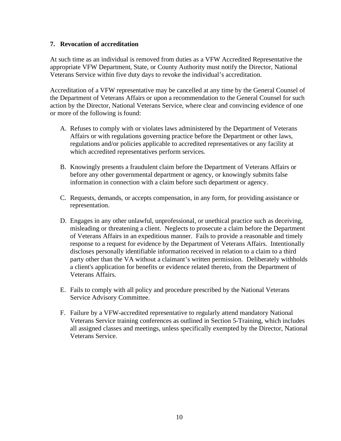#### **7. Revocation of accreditation**

At such time as an individual is removed from duties as a VFW Accredited Representative the appropriate VFW Department, State, or County Authority must notify the Director, National Veterans Service within five duty days to revoke the individual's accreditation.

Accreditation of a VFW representative may be cancelled at any time by the General Counsel of the Department of Veterans Affairs or upon a recommendation to the General Counsel for such action by the Director, National Veterans Service, where clear and convincing evidence of one or more of the following is found:

- A. Refuses to comply with or violates laws administered by the Department of Veterans Affairs or with regulations governing practice before the Department or other laws, regulations and/or policies applicable to accredited representatives or any facility at which accredited representatives perform services.
- B. Knowingly presents a fraudulent claim before the Department of Veterans Affairs or before any other governmental department or agency, or knowingly submits false information in connection with a claim before such department or agency.
- C. Requests, demands, or accepts compensation, in any form, for providing assistance or representation.
- D. Engages in any other unlawful, unprofessional, or unethical practice such as deceiving, misleading or threatening a client. Neglects to prosecute a claim before the Department of Veterans Affairs in an expeditious manner. Fails to provide a reasonable and timely response to a request for evidence by the Department of Veterans Affairs. Intentionally discloses personally identifiable information received in relation to a claim to a third party other than the VA without a claimant's written permission. Deliberately withholds a client's application for benefits or evidence related thereto, from the Department of Veterans Affairs.
- E. Fails to comply with all policy and procedure prescribed by the National Veterans Service Advisory Committee.
- F. Failure by a VFW-accredited representative to regularly attend mandatory National Veterans Service training conferences as outlined in Section 5-Training, which includes all assigned classes and meetings, unless specifically exempted by the Director, National Veterans Service.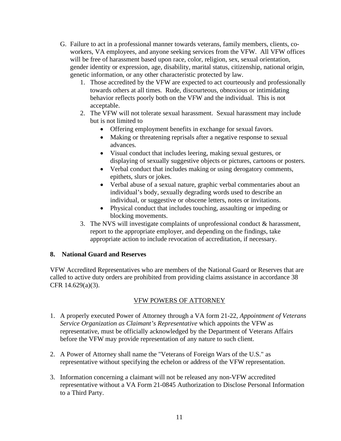- G. Failure to act in a professional manner towards veterans, family members, clients, coworkers, VA employees, and anyone seeking services from the VFW. All VFW offices will be free of harassment based upon race, color, religion, sex, sexual orientation, gender identity or expression, age, disability, marital status, citizenship, national origin, genetic information, or any other characteristic protected by law.
	- 1. Those accredited by the VFW are expected to act courteously and professionally towards others at all times. Rude, discourteous, obnoxious or intimidating behavior reflects poorly both on the VFW and the individual. This is not acceptable.
	- 2. The VFW will not tolerate sexual harassment. Sexual harassment may include but is not limited to
		- Offering employment benefits in exchange for sexual favors.
		- Making or threatening reprisals after a negative response to sexual advances.
		- Visual conduct that includes leering, making sexual gestures, or displaying of sexually suggestive objects or pictures, cartoons or posters.
		- Verbal conduct that includes making or using derogatory comments, epithets, slurs or jokes.
		- Verbal abuse of a sexual nature, graphic verbal commentaries about an individual's body, sexually degrading words used to describe an individual, or suggestive or obscene letters, notes or invitations.
		- Physical conduct that includes touching, assaulting or impeding or blocking movements.
	- 3. The NVS will investigate complaints of unprofessional conduct & harassment, report to the appropriate employer, and depending on the findings, take appropriate action to include revocation of accreditation, if necessary.

# **8. National Guard and Reserves**

VFW Accredited Representatives who are members of the National Guard or Reserves that are called to active duty orders are prohibited from providing claims assistance in accordance 38 CFR 14.629(a)(3).

# VFW POWERS OF ATTORNEY

- 1. A properly executed Power of Attorney through a VA form 21-22, *Appointment of Veterans Service Organization as Claimant's Representative* which appoints the VFW as representative, must be officially acknowledged by the Department of Veterans Affairs before the VFW may provide representation of any nature to such client.
- 2. A Power of Attorney shall name the "Veterans of Foreign Wars of the U.S." as representative without specifying the echelon or address of the VFW representation.
- 3. Information concerning a claimant will not be released any non-VFW accredited representative without a VA Form 21-0845 Authorization to Disclose Personal Information to a Third Party.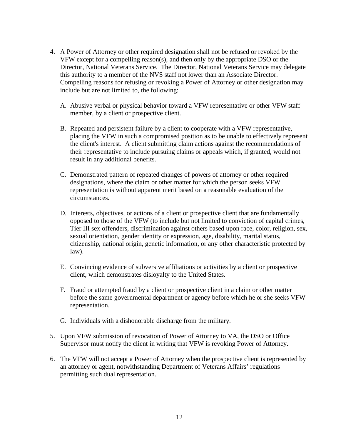- 4. A Power of Attorney or other required designation shall not be refused or revoked by the VFW except for a compelling reason(s), and then only by the appropriate DSO or the Director, National Veterans Service. The Director, National Veterans Service may delegate this authority to a member of the NVS staff not lower than an Associate Director. Compelling reasons for refusing or revoking a Power of Attorney or other designation may include but are not limited to, the following:
	- A. Abusive verbal or physical behavior toward a VFW representative or other VFW staff member, by a client or prospective client.
	- B. Repeated and persistent failure by a client to cooperate with a VFW representative, placing the VFW in such a compromised position as to be unable to effectively represent the client's interest. A client submitting claim actions against the recommendations of their representative to include pursuing claims or appeals which, if granted, would not result in any additional benefits.
	- C. Demonstrated pattern of repeated changes of powers of attorney or other required designations, where the claim or other matter for which the person seeks VFW representation is without apparent merit based on a reasonable evaluation of the circumstances.
	- D. Interests, objectives, or actions of a client or prospective client that are fundamentally opposed to those of the VFW (to include but not limited to conviction of capital crimes, Tier III sex offenders, discrimination against others based upon race, color, religion, sex, sexual orientation, gender identity or expression, age, disability, marital status, citizenship, national origin, genetic information, or any other characteristic protected by law).
	- E. Convincing evidence of subversive affiliations or activities by a client or prospective client, which demonstrates disloyalty to the United States.
	- F. Fraud or attempted fraud by a client or prospective client in a claim or other matter before the same governmental department or agency before which he or she seeks VFW representation.
	- G. Individuals with a dishonorable discharge from the military.
- 5. Upon VFW submission of revocation of Power of Attorney to VA, the DSO or Office Supervisor must notify the client in writing that VFW is revoking Power of Attorney.
- 6. The VFW will not accept a Power of Attorney when the prospective client is represented by an attorney or agent, notwithstanding Department of Veterans Affairs' regulations permitting such dual representation.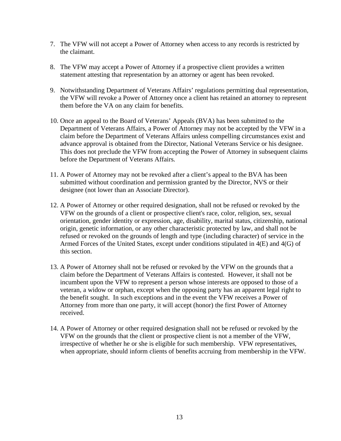- 7. The VFW will not accept a Power of Attorney when access to any records is restricted by the claimant.
- 8. The VFW may accept a Power of Attorney if a prospective client provides a written statement attesting that representation by an attorney or agent has been revoked.
- 9. Notwithstanding Department of Veterans Affairs' regulations permitting dual representation, the VFW will revoke a Power of Attorney once a client has retained an attorney to represent them before the VA on any claim for benefits.
- 10. Once an appeal to the Board of Veterans' Appeals (BVA) has been submitted to the Department of Veterans Affairs, a Power of Attorney may not be accepted by the VFW in a claim before the Department of Veterans Affairs unless compelling circumstances exist and advance approval is obtained from the Director, National Veterans Service or his designee. This does not preclude the VFW from accepting the Power of Attorney in subsequent claims before the Department of Veterans Affairs.
- 11. A Power of Attorney may not be revoked after a client's appeal to the BVA has been submitted without coordination and permission granted by the Director, NVS or their designee (not lower than an Associate Director).
- 12. A Power of Attorney or other required designation, shall not be refused or revoked by the VFW on the grounds of a client or prospective client's race, color, religion, sex, sexual orientation, gender identity or expression, age, disability, marital status, citizenship, national origin, genetic information, or any other characteristic protected by law, and shall not be refused or revoked on the grounds of length and type (including character) of service in the Armed Forces of the United States, except under conditions stipulated in 4(E) and 4(G) of this section.
- 13. A Power of Attorney shall not be refused or revoked by the VFW on the grounds that a claim before the Department of Veterans Affairs is contested. However, it shall not be incumbent upon the VFW to represent a person whose interests are opposed to those of a veteran, a widow or orphan, except when the opposing party has an apparent legal right to the benefit sought. In such exceptions and in the event the VFW receives a Power of Attorney from more than one party, it will accept (honor) the first Power of Attorney received.
- 14. A Power of Attorney or other required designation shall not be refused or revoked by the VFW on the grounds that the client or prospective client is not a member of the VFW, irrespective of whether he or she is eligible for such membership. VFW representatives, when appropriate, should inform clients of benefits accruing from membership in the VFW.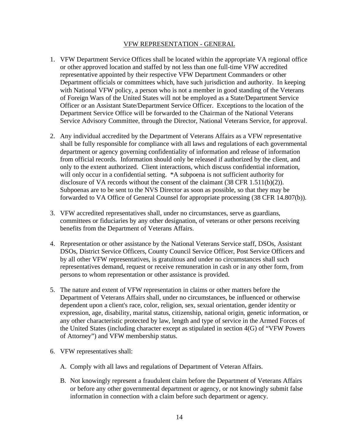#### VFW REPRESENTATION - GENERAL

- 1. VFW Department Service Offices shall be located within the appropriate VA regional office or other approved location and staffed by not less than one full-time VFW accredited representative appointed by their respective VFW Department Commanders or other Department officials or committees which, have such jurisdiction and authority. In keeping with National VFW policy, a person who is not a member in good standing of the Veterans of Foreign Wars of the United States will not be employed as a State/Department Service Officer or an Assistant State/Department Service Officer. Exceptions to the location of the Department Service Office will be forwarded to the Chairman of the National Veterans Service Advisory Committee, through the Director, National Veterans Service, for approval.
- 2. Any individual accredited by the Department of Veterans Affairs as a VFW representative shall be fully responsible for compliance with all laws and regulations of each governmental department or agency governing confidentiality of information and release of information from official records. Information should only be released if authorized by the client, and only to the extent authorized. Client interactions, which discuss confidential information, will only occur in a confidential setting. \*A subpoena is not sufficient authority for disclosure of VA records without the consent of the claimant (38 CFR 1.511(b)(2)). Subpoenas are to be sent to the NVS Director as soon as possible, so that they may be forwarded to VA Office of General Counsel for appropriate processing (38 CFR 14.807(b)).
- 3. VFW accredited representatives shall, under no circumstances, serve as guardians, committees or fiduciaries by any other designation, of veterans or other persons receiving benefits from the Department of Veterans Affairs.
- 4. Representation or other assistance by the National Veterans Service staff, DSOs, Assistant DSOs, District Service Officers, County Council Service Officer, Post Service Officers and by all other VFW representatives, is gratuitous and under no circumstances shall such representatives demand, request or receive remuneration in cash or in any other form, from persons to whom representation or other assistance is provided.
- 5. The nature and extent of VFW representation in claims or other matters before the Department of Veterans Affairs shall, under no circumstances, be influenced or otherwise dependent upon a client's race, color, religion, sex, sexual orientation, gender identity or expression, age, disability, marital status, citizenship, national origin, genetic information, or any other characteristic protected by law, length and type of service in the Armed Forces of the United States (including character except as stipulated in section 4(G) of "VFW Powers of Attorney") and VFW membership status.
- 6. VFW representatives shall:
	- A. Comply with all laws and regulations of Department of Veteran Affairs.
	- B. Not knowingly represent a fraudulent claim before the Department of Veterans Affairs or before any other governmental department or agency, or not knowingly submit false information in connection with a claim before such department or agency.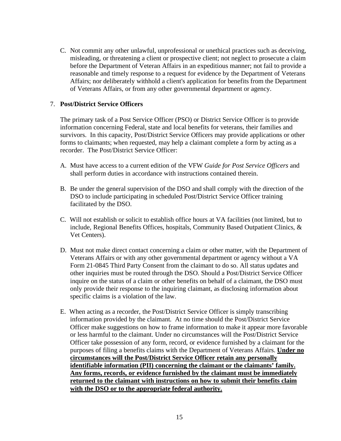C. Not commit any other unlawful, unprofessional or unethical practices such as deceiving, misleading, or threatening a client or prospective client; not neglect to prosecute a claim before the Department of Veteran Affairs in an expeditious manner; not fail to provide a reasonable and timely response to a request for evidence by the Department of Veterans Affairs; nor deliberately withhold a client's application for benefits from the Department of Veterans Affairs, or from any other governmental department or agency.

#### 7. **Post/District Service Officers**

The primary task of a Post Service Officer (PSO) or District Service Officer is to provide information concerning Federal, state and local benefits for veterans, their families and survivors. In this capacity, Post/District Service Officers may provide applications or other forms to claimants; when requested, may help a claimant complete a form by acting as a recorder. The Post/District Service Officer:

- A. Must have access to a current edition of the VFW *Guide for Post Service Officers* and shall perform duties in accordance with instructions contained therein.
- B. Be under the general supervision of the DSO and shall comply with the direction of the DSO to include participating in scheduled Post/District Service Officer training facilitated by the DSO.
- C. Will not establish or solicit to establish office hours at VA facilities (not limited, but to include, Regional Benefits Offices, hospitals, Community Based Outpatient Clinics, & Vet Centers).
- D. Must not make direct contact concerning a claim or other matter, with the Department of Veterans Affairs or with any other governmental department or agency without a VA Form 21-0845 Third Party Consent from the claimant to do so. All status updates and other inquiries must be routed through the DSO. Should a Post/District Service Officer inquire on the status of a claim or other benefits on behalf of a claimant, the DSO must only provide their response to the inquiring claimant, as disclosing information about specific claims is a violation of the law.
- E. When acting as a recorder, the Post/District Service Officer is simply transcribing information provided by the claimant. At no time should the Post/District Service Officer make suggestions on how to frame information to make it appear more favorable or less harmful to the claimant. Under no circumstances will the Post/District Service Officer take possession of any form, record, or evidence furnished by a claimant for the purposes of filing a benefits claims with the Department of Veterans Affairs. **Under no circumstances will the Post/District Service Officer retain any personally identifiable information (PII) concerning the claimant or the claimants' family. Any forms, records, or evidence furnished by the claimant must be immediately returned to the claimant with instructions on how to submit their benefits claim with the DSO or to the appropriate federal authority.**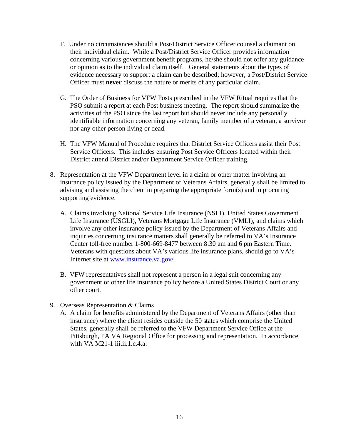- F. Under no circumstances should a Post/District Service Officer counsel a claimant on their individual claim. While a Post/District Service Officer provides information concerning various government benefit programs, he/she should not offer any guidance or opinion as to the individual claim itself. General statements about the types of evidence necessary to support a claim can be described; however, a Post/District Service Officer must **never** discuss the nature or merits of any particular claim.
- G. The Order of Business for VFW Posts prescribed in the VFW Ritual requires that the PSO submit a report at each Post business meeting. The report should summarize the activities of the PSO since the last report but should never include any personally identifiable information concerning any veteran, family member of a veteran, a survivor nor any other person living or dead.
- H. The VFW Manual of Procedure requires that District Service Officers assist their Post Service Officers. This includes ensuring Post Service Officers located within their District attend District and/or Department Service Officer training.
- 8. Representation at the VFW Department level in a claim or other matter involving an insurance policy issued by the Department of Veterans Affairs, generally shall be limited to advising and assisting the client in preparing the appropriate form(s) and in procuring supporting evidence.
	- A. Claims involving National Service Life Insurance (NSLI), United States Government Life Insurance (USGLI), Veterans Mortgage Life Insurance (VMLI), and claims which involve any other insurance policy issued by the Department of Veterans Affairs and inquiries concerning insurance matters shall generally be referred to VA's Insurance Center toll-free number 1-800-669-8477 between 8:30 am and 6 pm Eastern Time. Veterans with questions about VA's various life insurance plans, should go to VA's Internet site at [www.insurance.va.gov/.](http://www.insurance.va.gov/)
	- B. VFW representatives shall not represent a person in a legal suit concerning any government or other life insurance policy before a United States District Court or any other court.
- 9. Overseas Representation & Claims
	- A. A claim for benefits administered by the Department of Veterans Affairs (other than insurance) where the client resides outside the 50 states which comprise the United States, generally shall be referred to the VFW Department Service Office at the Pittsburgh, PA VA Regional Office for processing and representation. In accordance with VA  $M21-1$  iii.ii.1.c.4.a: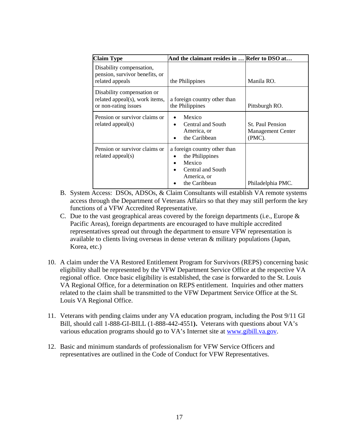| <b>Claim Type</b>                                                                    | And the claimant resides in  Refer to DSO at                                                                   |                                                                  |
|--------------------------------------------------------------------------------------|----------------------------------------------------------------------------------------------------------------|------------------------------------------------------------------|
| Disability compensation,<br>pension, survivor benefits, or<br>related appeals        | the Philippines                                                                                                | Manila RO.                                                       |
| Disability compensation or<br>related appeal(s), work items,<br>or non-rating issues | a foreign country other than<br>the Philippines                                                                | Pittsburgh RO.                                                   |
| Pension or survivor claims or<br>related appeal(s)                                   | Mexico<br>Central and South<br>America, or<br>the Caribbean<br>$\bullet$                                       | <b>St. Paul Pension</b><br><b>Management Center</b><br>$(PMC)$ . |
| Pension or survivor claims or<br>related appeal(s)                                   | a foreign country other than<br>the Philippines<br>Mexico<br>Central and South<br>America, or<br>the Caribbean | Philadelphia PMC.                                                |

- B. System Access: DSOs, ADSOs, & Claim Consultants will establish VA remote systems access through the Department of Veterans Affairs so that they may still perform the key functions of a VFW Accredited Representative.
- C. Due to the vast geographical areas covered by the foreign departments (i.e., Europe & Pacific Areas), foreign departments are encouraged to have multiple accredited representatives spread out through the department to ensure VFW representation is available to clients living overseas in dense veteran & military populations (Japan, Korea, etc.)
- 10. A claim under the VA Restored Entitlement Program for Survivors (REPS) concerning basic eligibility shall be represented by the VFW Department Service Office at the respective VA regional office. Once basic eligibility is established, the case is forwarded to the St. Louis VA Regional Office, for a determination on REPS entitlement. Inquiries and other matters related to the claim shall be transmitted to the VFW Department Service Office at the St. Louis VA Regional Office.
- 11. Veterans with pending claims under any VA education program, including the Post 9/11 GI Bill, should call 1-888-GI-BILL (1-888-442-4551**).** Veterans with questions about VA's various education programs should go to VA's Internet site at [www.gibill.va.gov.](http://www.gibill.va.gov/)
- 12. Basic and minimum standards of professionalism for VFW Service Officers and representatives are outlined in the Code of Conduct for VFW Representatives.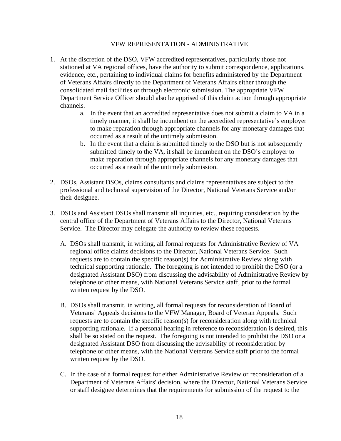#### VFW REPRESENTATION - ADMINISTRATIVE

- 1. At the discretion of the DSO, VFW accredited representatives, particularly those not stationed at VA regional offices, have the authority to submit correspondence, applications, evidence, etc., pertaining to individual claims for benefits administered by the Department of Veterans Affairs directly to the Department of Veterans Affairs either through the consolidated mail facilities or through electronic submission. The appropriate VFW Department Service Officer should also be apprised of this claim action through appropriate channels.
	- a. In the event that an accredited representative does not submit a claim to VA in a timely manner, it shall be incumbent on the accredited representative's employer to make reparation through appropriate channels for any monetary damages that occurred as a result of the untimely submission.
	- b. In the event that a claim is submitted timely to the DSO but is not subsequently submitted timely to the VA, it shall be incumbent on the DSO's employer to make reparation through appropriate channels for any monetary damages that occurred as a result of the untimely submission.
- 2. DSOs, Assistant DSOs, claims consultants and claims representatives are subject to the professional and technical supervision of the Director, National Veterans Service and/or their designee.
- 3. DSOs and Assistant DSOs shall transmit all inquiries, etc., requiring consideration by the central office of the Department of Veterans Affairs to the Director, National Veterans Service. The Director may delegate the authority to review these requests.
	- A. DSOs shall transmit, in writing, all formal requests for Administrative Review of VA regional office claims decisions to the Director, National Veterans Service. Such requests are to contain the specific reason(s) for Administrative Review along with technical supporting rationale. The foregoing is not intended to prohibit the DSO (or a designated Assistant DSO) from discussing the advisability of Administrative Review by telephone or other means, with National Veterans Service staff, prior to the formal written request by the DSO.
	- B. DSOs shall transmit, in writing, all formal requests for reconsideration of Board of Veterans' Appeals decisions to the VFW Manager, Board of Veteran Appeals. Such requests are to contain the specific reason(s) for reconsideration along with technical supporting rationale. If a personal hearing in reference to reconsideration is desired, this shall be so stated on the request. The foregoing is not intended to prohibit the DSO or a designated Assistant DSO from discussing the advisability of reconsideration by telephone or other means, with the National Veterans Service staff prior to the formal written request by the DSO.
	- C. In the case of a formal request for either Administrative Review or reconsideration of a Department of Veterans Affairs' decision, where the Director, National Veterans Service or staff designee determines that the requirements for submission of the request to the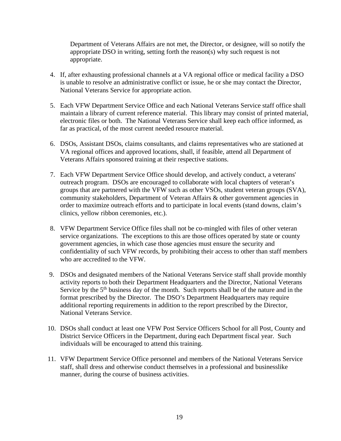Department of Veterans Affairs are not met, the Director, or designee, will so notify the appropriate DSO in writing, setting forth the reason(s) why such request is not appropriate.

- 4. If, after exhausting professional channels at a VA regional office or medical facility a DSO is unable to resolve an administrative conflict or issue, he or she may contact the Director, National Veterans Service for appropriate action.
- 5. Each VFW Department Service Office and each National Veterans Service staff office shall maintain a library of current reference material. This library may consist of printed material, electronic files or both. The National Veterans Service shall keep each office informed, as far as practical, of the most current needed resource material.
- 6. DSOs, Assistant DSOs, claims consultants, and claims representatives who are stationed at VA regional offices and approved locations, shall, if feasible, attend all Department of Veterans Affairs sponsored training at their respective stations.
- 7. Each VFW Department Service Office should develop, and actively conduct, a veterans' outreach program. DSOs are encouraged to collaborate with local chapters of veteran's groups that are partnered with the VFW such as other VSOs, student veteran groups (SVA), community stakeholders, Department of Veteran Affairs & other government agencies in order to maximize outreach efforts and to participate in local events (stand downs, claim's clinics, yellow ribbon ceremonies, etc.).
- 8. VFW Department Service Office files shall not be co-mingled with files of other veteran service organizations. The exceptions to this are those offices operated by state or county government agencies, in which case those agencies must ensure the security and confidentiality of such VFW records, by prohibiting their access to other than staff members who are accredited to the VFW.
- 9. DSOs and designated members of the National Veterans Service staff shall provide monthly activity reports to both their Department Headquarters and the Director, National Veterans Service by the  $5<sup>th</sup>$  business day of the month. Such reports shall be of the nature and in the format prescribed by the Director. The DSO's Department Headquarters may require additional reporting requirements in addition to the report prescribed by the Director, National Veterans Service.
- 10. DSOs shall conduct at least one VFW Post Service Officers School for all Post, County and District Service Officers in the Department, during each Department fiscal year. Such individuals will be encouraged to attend this training.
- 11. VFW Department Service Office personnel and members of the National Veterans Service staff, shall dress and otherwise conduct themselves in a professional and businesslike manner, during the course of business activities.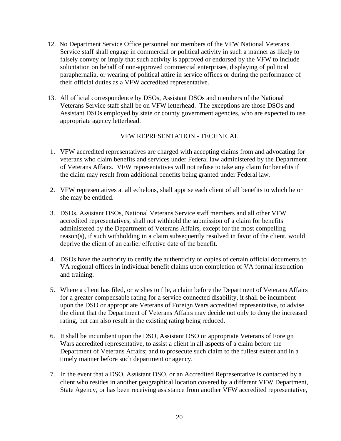- 12. No Department Service Office personnel nor members of the VFW National Veterans Service staff shall engage in commercial or political activity in such a manner as likely to falsely convey or imply that such activity is approved or endorsed by the VFW to include solicitation on behalf of non-approved commercial enterprises, displaying of political paraphernalia, or wearing of political attire in service offices or during the performance of their official duties as a VFW accredited representative.
- 13. All official correspondence by DSOs, Assistant DSOs and members of the National Veterans Service staff shall be on VFW letterhead. The exceptions are those DSOs and Assistant DSOs employed by state or county government agencies, who are expected to use appropriate agency letterhead.

#### VFW REPRESENTATION - TECHNICAL

- 1. VFW accredited representatives are charged with accepting claims from and advocating for veterans who claim benefits and services under Federal law administered by the Department of Veterans Affairs. VFW representatives will not refuse to take any claim for benefits if the claim may result from additional benefits being granted under Federal law.
- 2. VFW representatives at all echelons, shall apprise each client of all benefits to which he or she may be entitled.
- 3. DSOs, Assistant DSOs, National Veterans Service staff members and all other VFW accredited representatives, shall not withhold the submission of a claim for benefits administered by the Department of Veterans Affairs, except for the most compelling reason(s), if such withholding in a claim subsequently resolved in favor of the client, would deprive the client of an earlier effective date of the benefit.
- 4. DSOs have the authority to certify the authenticity of copies of certain official documents to VA regional offices in individual benefit claims upon completion of VA formal instruction and training.
- 5. Where a client has filed, or wishes to file, a claim before the Department of Veterans Affairs for a greater compensable rating for a service connected disability, it shall be incumbent upon the DSO or appropriate Veterans of Foreign Wars accredited representative, to advise the client that the Department of Veterans Affairs may decide not only to deny the increased rating, but can also result in the existing rating being reduced.
- 6. It shall be incumbent upon the DSO, Assistant DSO or appropriate Veterans of Foreign Wars accredited representative, to assist a client in all aspects of a claim before the Department of Veterans Affairs; and to prosecute such claim to the fullest extent and in a timely manner before such department or agency.
- 7. In the event that a DSO, Assistant DSO, or an Accredited Representative is contacted by a client who resides in another geographical location covered by a different VFW Department, State Agency, or has been receiving assistance from another VFW accredited representative,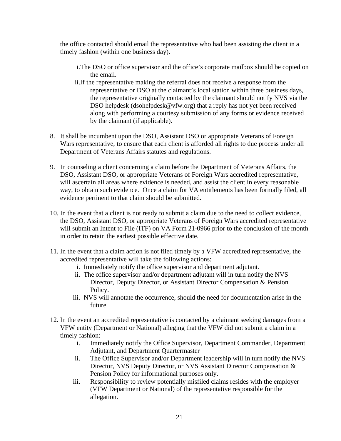the office contacted should email the representative who had been assisting the client in a timely fashion (within one business day).

- i.The DSO or office supervisor and the office's corporate mailbox should be copied on the email.
- ii.If the representative making the referral does not receive a response from the representative or DSO at the claimant's local station within three business days, the representative originally contacted by the claimant should notify NVS via the DSO helpdesk (dsohelpdesk@vfw.org) that a reply has not yet been received along with performing a courtesy submission of any forms or evidence received by the claimant (if applicable).
- 8. It shall be incumbent upon the DSO, Assistant DSO or appropriate Veterans of Foreign Wars representative, to ensure that each client is afforded all rights to due process under all Department of Veterans Affairs statutes and regulations.
- 9. In counseling a client concerning a claim before the Department of Veterans Affairs, the DSO, Assistant DSO, or appropriate Veterans of Foreign Wars accredited representative, will ascertain all areas where evidence is needed, and assist the client in every reasonable way, to obtain such evidence. Once a claim for VA entitlements has been formally filed, all evidence pertinent to that claim should be submitted.
- 10. In the event that a client is not ready to submit a claim due to the need to collect evidence, the DSO, Assistant DSO, or appropriate Veterans of Foreign Wars accredited representative will submit an Intent to File (ITF) on VA Form 21-0966 prior to the conclusion of the month in order to retain the earliest possible effective date.
- 11. In the event that a claim action is not filed timely by a VFW accredited representative, the accredited representative will take the following actions:
	- i. Immediately notify the office supervisor and department adjutant.
	- ii. The office supervisor and/or department adjutant will in turn notify the NVS Director, Deputy Director, or Assistant Director Compensation & Pension Policy.
	- iii. NVS will annotate the occurrence, should the need for documentation arise in the future.
- 12. In the event an accredited representative is contacted by a claimant seeking damages from a VFW entity (Department or National) alleging that the VFW did not submit a claim in a timely fashion:
	- i. Immediately notify the Office Supervisor, Department Commander, Department Adjutant, and Department Quartermaster
	- ii. The Office Supervisor and/or Department leadership will in turn notify the NVS Director, NVS Deputy Director, or NVS Assistant Director Compensation & Pension Policy for informational purposes only.
	- iii. Responsibility to review potentially misfiled claims resides with the employer (VFW Department or National) of the representative responsible for the allegation.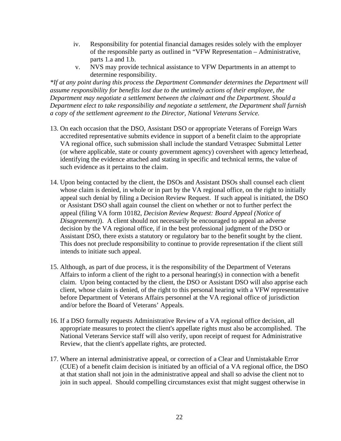- iv. Responsibility for potential financial damages resides solely with the employer of the responsible party as outlined in "VFW Representation – Administrative, parts 1.a and 1.b.
- v. NVS may provide technical assistance to VFW Departments in an attempt to determine responsibility.

*\*If at any point during this process the Department Commander determines the Department will assume responsibility for benefits lost due to the untimely actions of their employee, the Department may negotiate a settlement between the claimant and the Department. Should a Department elect to take responsibility and negotiate a settlement, the Department shall furnish a copy of the settlement agreement to the Director, National Veterans Service.* 

- 13. On each occasion that the DSO, Assistant DSO or appropriate Veterans of Foreign Wars accredited representative submits evidence in support of a benefit claim to the appropriate VA regional office, such submission shall include the standard Vetraspec Submittal Letter (or where applicable, state or county government agency) coversheet with agency letterhead, identifying the evidence attached and stating in specific and technical terms, the value of such evidence as it pertains to the claim.
- 14. Upon being contacted by the client, the DSOs and Assistant DSOs shall counsel each client whose claim is denied, in whole or in part by the VA regional office, on the right to initially appeal such denial by filing a Decision Review Request. If such appeal is initiated, the DSO or Assistant DSO shall again counsel the client on whether or not to further perfect the appeal (filing VA form 10182, *Decision Review Request: Board Appeal (Notice of Disagreement)*). A client should not necessarily be encouraged to appeal an adverse decision by the VA regional office, if in the best professional judgment of the DSO or Assistant DSO, there exists a statutory or regulatory bar to the benefit sought by the client. This does not preclude responsibility to continue to provide representation if the client still intends to initiate such appeal.
- 15. Although, as part of due process, it is the responsibility of the Department of Veterans Affairs to inform a client of the right to a personal hearing(s) in connection with a benefit claim. Upon being contacted by the client, the DSO or Assistant DSO will also apprise each client, whose claim is denied, of the right to this personal hearing with a VFW representative before Department of Veterans Affairs personnel at the VA regional office of jurisdiction and/or before the Board of Veterans' Appeals.
- 16. If a DSO formally requests Administrative Review of a VA regional office decision, all appropriate measures to protect the client's appellate rights must also be accomplished. The National Veterans Service staff will also verify, upon receipt of request for Administrative Review, that the client's appellate rights, are protected.
- 17. Where an internal administrative appeal, or correction of a Clear and Unmistakable Error (CUE) of a benefit claim decision is initiated by an official of a VA regional office, the DSO at that station shall not join in the administrative appeal and shall so advise the client not to join in such appeal. Should compelling circumstances exist that might suggest otherwise in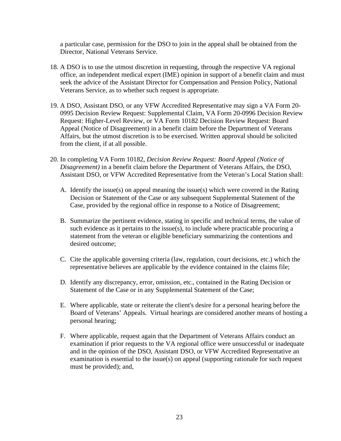a particular case, permission for the DSO to join in the appeal shall be obtained from the Director, National Veterans Service.

- 18. A DSO is to use the utmost discretion in requesting, through the respective VA regional office, an independent medical expert (IME) opinion in support of a benefit claim and must seek the advice of the Assistant Director for Compensation and Pension Policy, National Veterans Service, as to whether such request is appropriate.
- 19. A DSO, Assistant DSO, or any VFW Accredited Representative may sign a VA Form 20- 0995 Decision Review Request: Supplemental Claim, VA Form 20-0996 Decision Review Request: Higher-Level Review, or VA Form 10182 Decision Review Request: Board Appeal (Notice of Disagreement) in a benefit claim before the Department of Veterans Affairs, but the utmost discretion is to be exercised. Written approval should be solicited from the client, if at all possible.
- 20. In completing VA Form 10182, *Decision Review Request: Board Appeal (Notice of Disagreement)* in a benefit claim before the Department of Veterans Affairs, the DSO, Assistant DSO, or VFW Accredited Representative from the Veteran's Local Station shall:
	- A. Identify the issue(s) on appeal meaning the issue(s) which were covered in the Rating Decision or Statement of the Case or any subsequent Supplemental Statement of the Case, provided by the regional office in response to a Notice of Disagreement;
	- B. Summarize the pertinent evidence, stating in specific and technical terms, the value of such evidence as it pertains to the issue(s), to include where practicable procuring a statement from the veteran or eligible beneficiary summarizing the contentions and desired outcome;
	- C. Cite the applicable governing criteria (law, regulation, court decisions, etc.) which the representative believes are applicable by the evidence contained in the claims file;
	- D. Identify any discrepancy, error, omission, etc., contained in the Rating Decision or Statement of the Case or in any Supplemental Statement of the Case;
	- E. Where applicable, state or reiterate the client's desire for a personal hearing before the Board of Veterans' Appeals. Virtual hearings are considered another means of hosting a personal hearing;
	- F. Where applicable, request again that the Department of Veterans Affairs conduct an examination if prior requests to the VA regional office were unsuccessful or inadequate and in the opinion of the DSO, Assistant DSO, or VFW Accredited Representative an examination is essential to the issue(s) on appeal (supporting rationale for such request must be provided); and,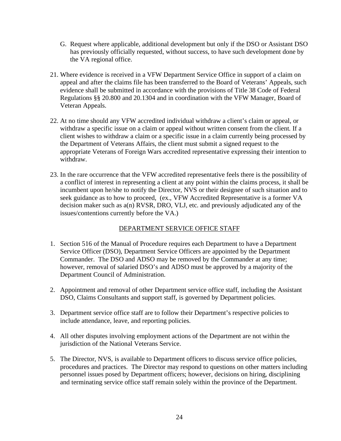- G. Request where applicable, additional development but only if the DSO or Assistant DSO has previously officially requested, without success, to have such development done by the VA regional office.
- 21. Where evidence is received in a VFW Department Service Office in support of a claim on appeal and after the claims file has been transferred to the Board of Veterans' Appeals, such evidence shall be submitted in accordance with the provisions of Title 38 Code of Federal Regulations §§ 20.800 and 20.1304 and in coordination with the VFW Manager, Board of Veteran Appeals.
- 22. At no time should any VFW accredited individual withdraw a client's claim or appeal, or withdraw a specific issue on a claim or appeal without written consent from the client. If a client wishes to withdraw a claim or a specific issue in a claim currently being processed by the Department of Veterans Affairs, the client must submit a signed request to the appropriate Veterans of Foreign Wars accredited representative expressing their intention to withdraw.
- 23. In the rare occurrence that the VFW accredited representative feels there is the possibility of a conflict of interest in representing a client at any point within the claims process, it shall be incumbent upon he/she to notify the Director, NVS or their designee of such situation and to seek guidance as to how to proceed, (ex., VFW Accredited Representative is a former VA decision maker such as a(n) RVSR, DRO, VLJ, etc. and previously adjudicated any of the issues/contentions currently before the VA.)

# DEPARTMENT SERVICE OFFICE STAFF

- 1. Section 516 of the Manual of Procedure requires each Department to have a Department Service Officer (DSO), Department Service Officers are appointed by the Department Commander. The DSO and ADSO may be removed by the Commander at any time; however, removal of salaried DSO's and ADSO must be approved by a majority of the Department Council of Administration.
- 2. Appointment and removal of other Department service office staff, including the Assistant DSO, Claims Consultants and support staff, is governed by Department policies.
- 3. Department service office staff are to follow their Department's respective policies to include attendance, leave, and reporting policies.
- 4. All other disputes involving employment actions of the Department are not within the jurisdiction of the National Veterans Service.
- 5. The Director, NVS, is available to Department officers to discuss service office policies, procedures and practices. The Director may respond to questions on other matters including personnel issues posed by Department officers; however, decisions on hiring, disciplining and terminating service office staff remain solely within the province of the Department.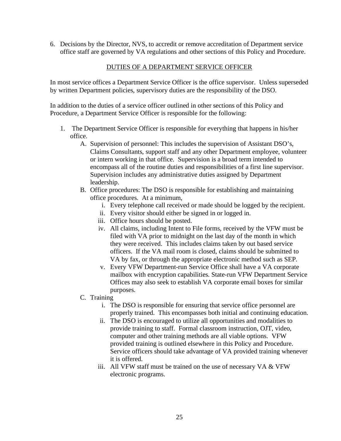6. Decisions by the Director, NVS, to accredit or remove accreditation of Department service office staff are governed by VA regulations and other sections of this Policy and Procedure.

# DUTIES OF A DEPARTMENT SERVICE OFFICER

In most service offices a Department Service Officer is the office supervisor. Unless superseded by written Department policies, supervisory duties are the responsibility of the DSO.

In addition to the duties of a service officer outlined in other sections of this Policy and Procedure, a Department Service Officer is responsible for the following:

- 1. The Department Service Officer is responsible for everything that happens in his/her office.
	- A. Supervision of personnel: This includes the supervision of Assistant DSO's, Claims Consultants, support staff and any other Department employee, volunteer or intern working in that office. Supervision is a broad term intended to encompass all of the routine duties and responsibilities of a first line supervisor. Supervision includes any administrative duties assigned by Department leadership.
	- B. Office procedures: The DSO is responsible for establishing and maintaining office procedures. At a minimum,
		- i. Every telephone call received or made should be logged by the recipient.
		- ii. Every visitor should either be signed in or logged in.
		- iii. Office hours should be posted.
		- iv. All claims, including Intent to File forms, received by the VFW must be filed with VA prior to midnight on the last day of the month in which they were received. This includes claims taken by out based service officers. If the VA mail room is closed, claims should be submitted to VA by fax, or through the appropriate electronic method such as SEP.
		- v. Every VFW Department-run Service Office shall have a VA corporate mailbox with encryption capabilities. State-run VFW Department Service Offices may also seek to establish VA corporate email boxes for similar purposes.

#### C. Training

- i. The DSO is responsible for ensuring that service office personnel are properly trained. This encompasses both initial and continuing education.
- ii. The DSO is encouraged to utilize all opportunities and modalities to provide training to staff. Formal classroom instruction, OJT, video, computer and other training methods are all viable options. VFW provided training is outlined elsewhere in this Policy and Procedure. Service officers should take advantage of VA provided training whenever it is offered.
- iii. All VFW staff must be trained on the use of necessary VA & VFW electronic programs.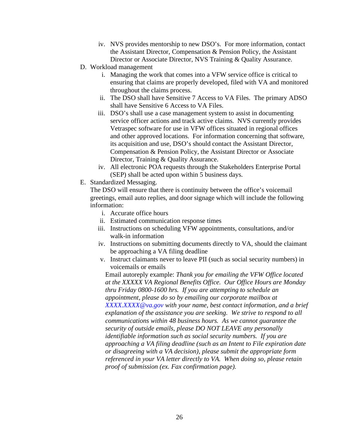- iv. NVS provides mentorship to new DSO's. For more information, contact the Assistant Director, Compensation & Pension Policy, the Assistant Director or Associate Director, NVS Training & Quality Assurance.
- D. Workload management
	- i. Managing the work that comes into a VFW service office is critical to ensuring that claims are properly developed, filed with VA and monitored throughout the claims process.
	- ii. The DSO shall have Sensitive 7 Access to VA Files. The primary ADSO shall have Sensitive 6 Access to VA Files.
	- iii. DSO's shall use a case management system to assist in documenting service officer actions and track active claims. NVS currently provides Vetraspec software for use in VFW offices situated in regional offices and other approved locations. For information concerning that software, its acquisition and use, DSO's should contact the Assistant Director, Compensation & Pension Policy, the Assistant Director or Associate Director, Training & Quality Assurance.
	- iv. All electronic POA requests through the Stakeholders Enterprise Portal (SEP) shall be acted upon within 5 business days.
- E. Standardized Messaging.

The DSO will ensure that there is continuity between the office's voicemail greetings, email auto replies, and door signage which will include the following information:

- i. Accurate office hours
- ii. Estimated communication response times
- iii. Instructions on scheduling VFW appointments, consultations, and/or walk-in information
- iv. Instructions on submitting documents directly to VA, should the claimant be approaching a VA filing deadline
- v. Instruct claimants never to leave PII (such as social security numbers) in voicemails or emails

Email autoreply example: *Thank you for emailing the VFW Office located at the XXXXX VA Regional Benefits Office. Our Office Hours are Monday thru Friday 0800-1600 hrs. If you are attempting to schedule an appointment, please do so by emailing our corporate mailbox at [XXXX.XXXX@va.gov](mailto:XXXX.XXXX@va.gov) with your name, best contact information, and a brief explanation of the assistance you are seeking. We strive to respond to all communications within 48 business hours. As we cannot guarantee the security of outside emails, please DO NOT LEAVE any personally identifiable information such as social security numbers. If you are approaching a VA filing deadline (such as an Intent to File expiration date or disagreeing with a VA decision), please submit the appropriate form referenced in your VA letter directly to VA. When doing so, please retain proof of submission (ex. Fax confirmation page).*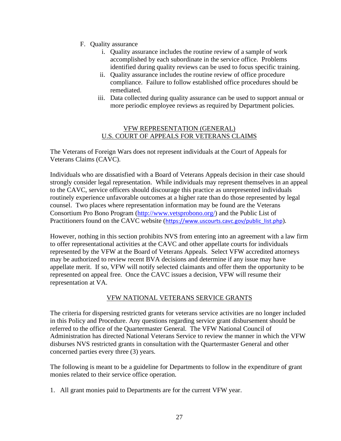- F. Quality assurance
	- i. Quality assurance includes the routine review of a sample of work accomplished by each subordinate in the service office. Problems identified during quality reviews can be used to focus specific training.
	- ii. Quality assurance includes the routine review of office procedure compliance. Failure to follow established office procedures should be remediated.
	- iii. Data collected during quality assurance can be used to support annual or more periodic employee reviews as required by Department policies.

#### VFW REPRESENTATION (GENERAL) U.S. COURT OF APPEALS FOR VETERANS CLAIMS

The Veterans of Foreign Wars does not represent individuals at the Court of Appeals for Veterans Claims (CAVC).

Individuals who are dissatisfied with a Board of Veterans Appeals decision in their case should strongly consider legal representation. While individuals may represent themselves in an appeal to the CAVC, service officers should discourage this practice as unrepresented individuals routinely experience unfavorable outcomes at a higher rate than do those represented by legal counsel. Two places where representation information may be found are the Veterans Consortium Pro Bono Program [\(http://www.vetsprobono.org/\)](http://www.vetsprobono.org/) and the Public List of Practitioners found on the CAVC website ([https://www.uscourts.cavc.gov/public\\_list.php](https://www.uscourts.cavc.gov/public_list.php)).

However, nothing in this section prohibits NVS from entering into an agreement with a law firm to offer representational activities at the CAVC and other appellate courts for individuals represented by the VFW at the Board of Veterans Appeals. Select VFW accredited attorneys may be authorized to review recent BVA decisions and determine if any issue may have appellate merit. If so, VFW will notify selected claimants and offer them the opportunity to be represented on appeal free. Once the CAVC issues a decision, VFW will resume their representation at VA.

# VFW NATIONAL VETERANS SERVICE GRANTS

The criteria for dispersing restricted grants for veterans service activities are no longer included in this Policy and Procedure. Any questions regarding service grant disbursement should be referred to the office of the Quartermaster General. The VFW National Council of Administration has directed National Veterans Service to review the manner in which the VFW disburses NVS restricted grants in consultation with the Quartermaster General and other concerned parties every three (3) years.

The following is meant to be a guideline for Departments to follow in the expenditure of grant monies related to their service office operation.

1. All grant monies paid to Departments are for the current VFW year.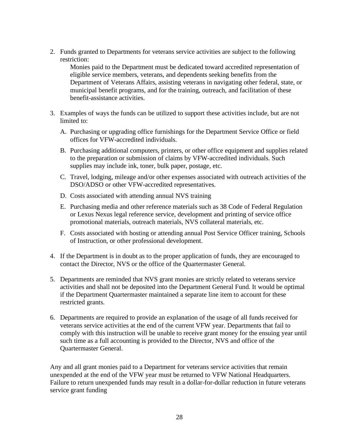2. Funds granted to Departments for veterans service activities are subject to the following restriction:

Monies paid to the Department must be dedicated toward accredited representation of eligible service members, veterans, and dependents seeking benefits from the Department of Veterans Affairs, assisting veterans in navigating other federal, state, or municipal benefit programs, and for the training, outreach, and facilitation of these benefit-assistance activities.

- 3. Examples of ways the funds can be utilized to support these activities include, but are not limited to:
	- A. Purchasing or upgrading office furnishings for the Department Service Office or field offices for VFW-accredited individuals.
	- B. Purchasing additional computers, printers, or other office equipment and supplies related to the preparation or submission of claims by VFW-accredited individuals. Such supplies may include ink, toner, bulk paper, postage, etc.
	- C. Travel, lodging, mileage and/or other expenses associated with outreach activities of the DSO/ADSO or other VFW-accredited representatives.
	- D. Costs associated with attending annual NVS training
	- E. Purchasing media and other reference materials such as 38 Code of Federal Regulation or Lexus Nexus legal reference service, development and printing of service office promotional materials, outreach materials, NVS collateral materials, etc.
	- F. Costs associated with hosting or attending annual Post Service Officer training, Schools of Instruction, or other professional development.
- 4. If the Department is in doubt as to the proper application of funds, they are encouraged to contact the Director, NVS or the office of the Quartermaster General.
- 5. Departments are reminded that NVS grant monies are strictly related to veterans service activities and shall not be deposited into the Department General Fund. It would be optimal if the Department Quartermaster maintained a separate line item to account for these restricted grants.
- 6. Departments are required to provide an explanation of the usage of all funds received for veterans service activities at the end of the current VFW year. Departments that fail to comply with this instruction will be unable to receive grant money for the ensuing year until such time as a full accounting is provided to the Director, NVS and office of the Quartermaster General.

Any and all grant monies paid to a Department for veterans service activities that remain unexpended at the end of the VFW year must be returned to VFW National Headquarters. Failure to return unexpended funds may result in a dollar-for-dollar reduction in future veterans service grant funding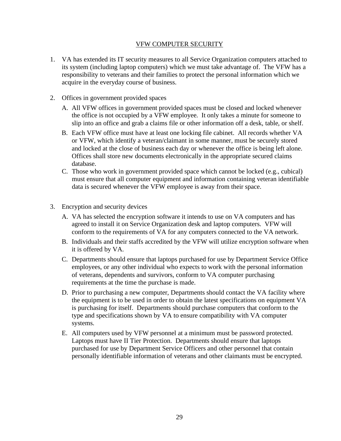#### VFW COMPUTER SECURITY

- 1. VA has extended its IT security measures to all Service Organization computers attached to its system (including laptop computers) which we must take advantage of. The VFW has a responsibility to veterans and their families to protect the personal information which we acquire in the everyday course of business.
- 2. Offices in government provided spaces
	- A. All VFW offices in government provided spaces must be closed and locked whenever the office is not occupied by a VFW employee. It only takes a minute for someone to slip into an office and grab a claims file or other information off a desk, table, or shelf.
	- B. Each VFW office must have at least one locking file cabinet. All records whether VA or VFW, which identify a veteran/claimant in some manner, must be securely stored and locked at the close of business each day or whenever the office is being left alone. Offices shall store new documents electronically in the appropriate secured claims database.
	- C. Those who work in government provided space which cannot be locked (e.g., cubical) must ensure that all computer equipment and information containing veteran identifiable data is secured whenever the VFW employee is away from their space.
- 3. Encryption and security devices
	- A. VA has selected the encryption software it intends to use on VA computers and has agreed to install it on Service Organization desk and laptop computers. VFW will conform to the requirements of VA for any computers connected to the VA network.
	- B. Individuals and their staffs accredited by the VFW will utilize encryption software when it is offered by VA.
	- C. Departments should ensure that laptops purchased for use by Department Service Office employees, or any other individual who expects to work with the personal information of veterans, dependents and survivors, conform to VA computer purchasing requirements at the time the purchase is made.
	- D. Prior to purchasing a new computer, Departments should contact the VA facility where the equipment is to be used in order to obtain the latest specifications on equipment VA is purchasing for itself. Departments should purchase computers that conform to the type and specifications shown by VA to ensure compatibility with VA computer systems.
	- E. All computers used by VFW personnel at a minimum must be password protected. Laptops must have II Tier Protection. Departments should ensure that laptops purchased for use by Department Service Officers and other personnel that contain personally identifiable information of veterans and other claimants must be encrypted.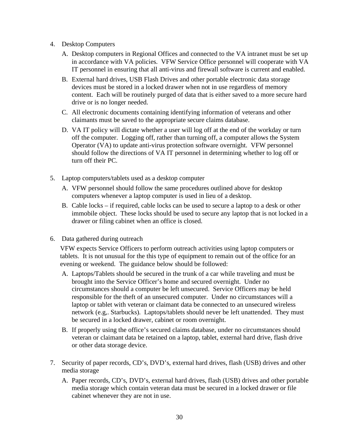- 4. Desktop Computers
	- A. Desktop computers in Regional Offices and connected to the VA intranet must be set up in accordance with VA policies. VFW Service Office personnel will cooperate with VA IT personnel in ensuring that all anti-virus and firewall software is current and enabled.
	- B. External hard drives, USB Flash Drives and other portable electronic data storage devices must be stored in a locked drawer when not in use regardless of memory content. Each will be routinely purged of data that is either saved to a more secure hard drive or is no longer needed.
	- C. All electronic documents containing identifying information of veterans and other claimants must be saved to the appropriate secure claims database.
	- D. VA IT policy will dictate whether a user will log off at the end of the workday or turn off the computer. Logging off, rather than turning off, a computer allows the System Operator (VA) to update anti-virus protection software overnight. VFW personnel should follow the directions of VA IT personnel in determining whether to log off or turn off their PC.
- 5. Laptop computers/tablets used as a desktop computer
	- A. VFW personnel should follow the same procedures outlined above for desktop computers whenever a laptop computer is used in lieu of a desktop.
	- B. Cable locks if required, cable locks can be used to secure a laptop to a desk or other immobile object. These locks should be used to secure any laptop that is not locked in a drawer or filing cabinet when an office is closed.
- 6. Data gathered during outreach

VFW expects Service Officers to perform outreach activities using laptop computers or tablets. It is not unusual for the this type of equipment to remain out of the office for an evening or weekend. The guidance below should be followed:

- A. Laptops/Tablets should be secured in the trunk of a car while traveling and must be brought into the Service Officer's home and secured overnight. Under no circumstances should a computer be left unsecured. Service Officers may be held responsible for the theft of an unsecured computer. Under no circumstances will a laptop or tablet with veteran or claimant data be connected to an unsecured wireless network (e.g,. Starbucks). Laptops/tablets should never be left unattended. They must be secured in a locked drawer, cabinet or room overnight.
- B. If properly using the office's secured claims database, under no circumstances should veteran or claimant data be retained on a laptop, tablet, external hard drive, flash drive or other data storage device.
- 7. Security of paper records, CD's, DVD's, external hard drives, flash (USB) drives and other media storage
	- A. Paper records, CD's, DVD's, external hard drives, flash (USB) drives and other portable media storage which contain veteran data must be secured in a locked drawer or file cabinet whenever they are not in use.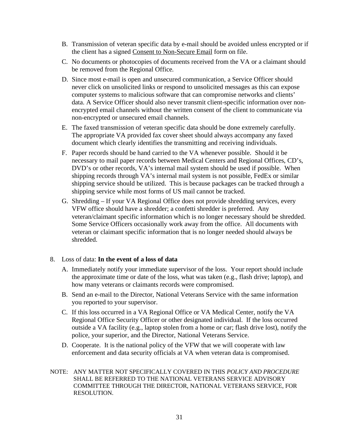- B. Transmission of veteran specific data by e-mail should be avoided unless encrypted or if the client has a signed Consent to Non-Secure Email form on file.
- C. No documents or photocopies of documents received from the VA or a claimant should be removed from the Regional Office.
- D. Since most e-mail is open and unsecured communication, a Service Officer should never click on unsolicited links or respond to unsolicited messages as this can expose computer systems to malicious software that can compromise networks and clients' data. A Service Officer should also never transmit client-specific information over nonencrypted email channels without the written consent of the client to communicate via non-encrypted or unsecured email channels.
- E. The faxed transmission of veteran specific data should be done extremely carefully. The appropriate VA provided fax cover sheet should always accompany any faxed document which clearly identifies the transmitting and receiving individuals.
- F. Paper records should be hand carried to the VA whenever possible. Should it be necessary to mail paper records between Medical Centers and Regional Offices, CD's, DVD's or other records, VA's internal mail system should be used if possible. When shipping records through VA's internal mail system is not possible, FedEx or similar shipping service should be utilized. This is because packages can be tracked through a shipping service while most forms of US mail cannot be tracked.
- G. Shredding If your VA Regional Office does not provide shredding services, every VFW office should have a shredder; a confetti shredder is preferred. Any veteran/claimant specific information which is no longer necessary should be shredded. Some Service Officers occasionally work away from the office. All documents with veteran or claimant specific information that is no longer needed should always be shredded.

#### 8. Loss of data: **In the event of a loss of data**

- A. Immediately notify your immediate supervisor of the loss. Your report should include the approximate time or date of the loss, what was taken (e.g., flash drive; laptop), and how many veterans or claimants records were compromised.
- B. Send an e-mail to the Director, National Veterans Service with the same information you reported to your supervisor.
- C. If this loss occurred in a VA Regional Office or VA Medical Center, notify the VA Regional Office Security Officer or other designated individual. If the loss occurred outside a VA facility (e.g., laptop stolen from a home or car; flash drive lost), notify the police, your superior, and the Director, National Veterans Service.
- D. Cooperate. It is the national policy of the VFW that we will cooperate with law enforcement and data security officials at VA when veteran data is compromised.
- NOTE: ANY MATTER NOT SPECIFICALLY COVERED IN THIS *POLICY AND PROCEDURE* SHALL BE REFERRED TO THE NATIONAL VETERANS SERVICE ADVISORY COMMITTEE THROUGH THE DIRECTOR, NATIONAL VETERANS SERVICE, FOR RESOLUTION.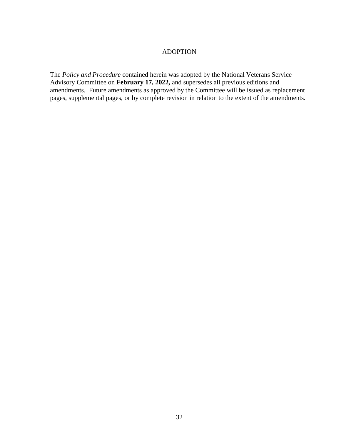#### ADOPTION

The *Policy and Procedure* contained herein was adopted by the National Veterans Service Advisory Committee on **February 17, 2022,** and supersedes all previous editions and amendments. Future amendments as approved by the Committee will be issued as replacement pages, supplemental pages, or by complete revision in relation to the extent of the amendments.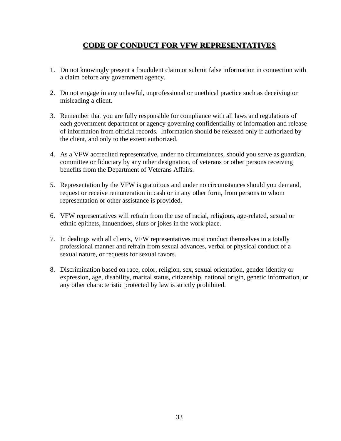# **CODE OF CONDUCT FOR VFW REPRESENTATIVES**

- 1. Do not knowingly present a fraudulent claim or submit false information in connection with a claim before any government agency.
- 2. Do not engage in any unlawful, unprofessional or unethical practice such as deceiving or misleading a client.
- 3. Remember that you are fully responsible for compliance with all laws and regulations of each government department or agency governing confidentiality of information and release of information from official records. Information should be released only if authorized by the client, and only to the extent authorized.
- 4. As a VFW accredited representative, under no circumstances, should you serve as guardian, committee or fiduciary by any other designation, of veterans or other persons receiving benefits from the Department of Veterans Affairs.
- 5. Representation by the VFW is gratuitous and under no circumstances should you demand, request or receive remuneration in cash or in any other form, from persons to whom representation or other assistance is provided.
- 6. VFW representatives will refrain from the use of racial, religious, age-related, sexual or ethnic epithets, innuendoes, slurs or jokes in the work place.
- 7. In dealings with all clients, VFW representatives must conduct themselves in a totally professional manner and refrain from sexual advances, verbal or physical conduct of a sexual nature, or requests for sexual favors.
- 8. Discrimination based on race, color, religion, sex, sexual orientation, gender identity or expression, age, disability, marital status, citizenship, national origin, genetic information, or any other characteristic protected by law is strictly prohibited.